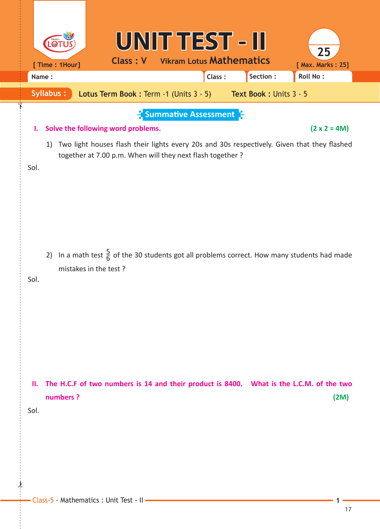|            | UNIT TEST - II<br><b>Class: V</b><br>[ Time : 1Hour]<br>Name:                                                                                              | 25<br><b>Vikram Lotus Mathematics</b><br>[ Max. Marks: 25]<br>Section :<br>Roll No:<br>Class:                      |
|------------|------------------------------------------------------------------------------------------------------------------------------------------------------------|--------------------------------------------------------------------------------------------------------------------|
|            | <b>Syllabus:</b><br><b>Lotus Term Book: Term -1 (Units 3 - 5)</b>                                                                                          | Text Book: Units 3 - 5                                                                                             |
| ı.<br>Sol. | $\frac{1}{2}$ Summative Assessment $\frac{1}{2}$<br>Solve the following word problems.<br>1)<br>together at 7.00 p.m. When will they next flash together ? | $(2 \times 2 = 4M)$<br>Two light houses flash their lights every 20s and 30s respectively. Given that they flashed |
| Sol.       | 2) In a math test $\frac{5}{6}$ of the 30 students got all problems correct. How many students had made<br>mistakes in the test?                           |                                                                                                                    |
| Ш.<br>Sol. | The H.C.F of two numbers is 14 and their product is 8400. What is the L.C.M. of the two<br>numbers ?                                                       | (2M)                                                                                                               |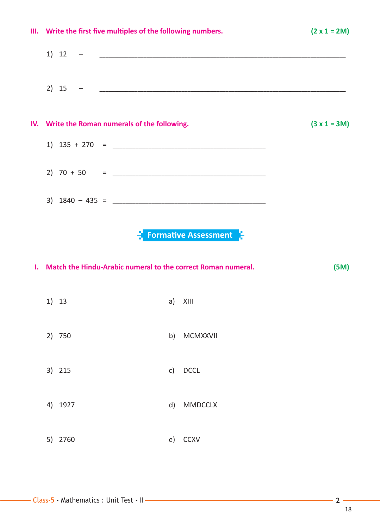| III. Write the first five multiples of the following numbers. |         |                                                                 | $(2 \times 1 = 2M)$                              |                |
|---------------------------------------------------------------|---------|-----------------------------------------------------------------|--------------------------------------------------|----------------|
|                                                               |         |                                                                 |                                                  |                |
|                                                               |         |                                                                 |                                                  |                |
|                                                               |         | IV. Write the Roman numerals of the following.                  |                                                  | $(3 x 1 = 3M)$ |
|                                                               |         |                                                                 |                                                  |                |
|                                                               |         |                                                                 |                                                  |                |
|                                                               |         |                                                                 |                                                  |                |
|                                                               |         |                                                                 | $\frac{1}{2}$ Formative Assessment $\frac{1}{2}$ |                |
|                                                               |         | I. Match the Hindu-Arabic numeral to the correct Roman numeral. |                                                  | (5M)           |
|                                                               | 1) 13   |                                                                 | a) XIII                                          |                |
|                                                               | 2) 750  |                                                                 | b) MCMXXVII                                      |                |
|                                                               | 3) 215  |                                                                 | c) DCCL                                          |                |
|                                                               | 4) 1927 |                                                                 | d) MMDCCLX                                       |                |
|                                                               | 5) 2760 |                                                                 | e) CCXV                                          |                |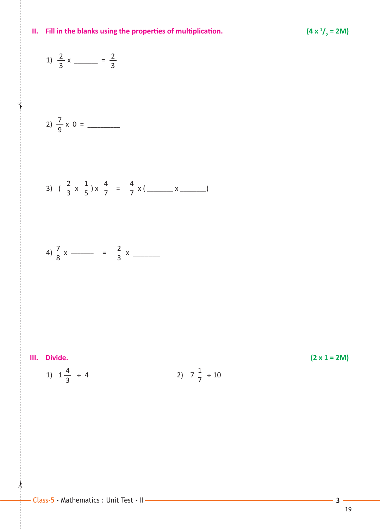

## **II.** Fill in the blanks using the properties of multiplication.

 

1)  $\frac{2}{3}x$  =

 $\star$